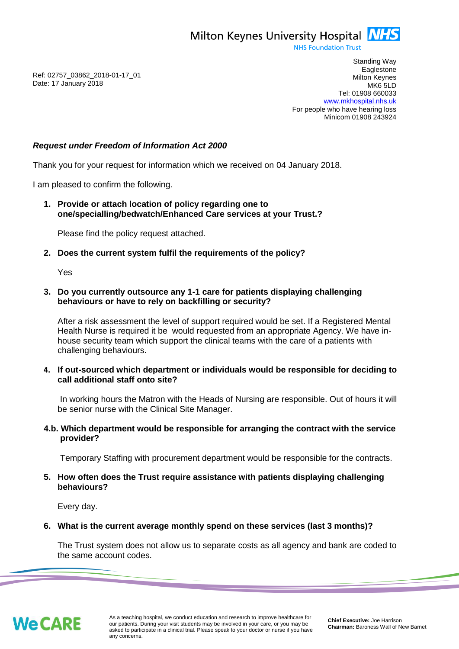Milton Keynes University Hospital **NHS** 

**NHS Foundation Trust** 

Ref: 02757\_03862\_2018-01-17\_01 Date: 17 January 2018

Standing Way **Eaglestone** Milton Keynes MK6 5LD Tel: 01908 660033 [www.mkhospital.nhs.uk](http://www.mkhospital.nhs.uk/) For people who have hearing loss Minicom 01908 243924

# *Request under Freedom of Information Act 2000*

Thank you for your request for information which we received on 04 January 2018.

I am pleased to confirm the following.

**1. Provide or attach location of policy regarding one to one/specialling/bedwatch/Enhanced Care services at your Trust.?** 

Please find the policy request attached.

**2. Does the current system fulfil the requirements of the policy?** 

Yes

#### **3. Do you currently outsource any 1-1 care for patients displaying challenging behaviours or have to rely on backfilling or security?**

After a risk assessment the level of support required would be set. If a Registered Mental Health Nurse is required it be would requested from an appropriate Agency. We have inhouse security team which support the clinical teams with the care of a patients with challenging behaviours.

**4. If out-sourced which department or individuals would be responsible for deciding to call additional staff onto site?**

In working hours the Matron with the Heads of Nursing are responsible. Out of hours it will be senior nurse with the Clinical Site Manager.

## **4.b. Which department would be responsible for arranging the contract with the service provider?**

Temporary Staffing with procurement department would be responsible for the contracts.

## **5. How often does the Trust require assistance with patients displaying challenging behaviours?**

Every day.

#### **6. What is the current average monthly spend on these services (last 3 months)?**

The Trust system does not allow us to separate costs as all agency and bank are coded to the same account codes.